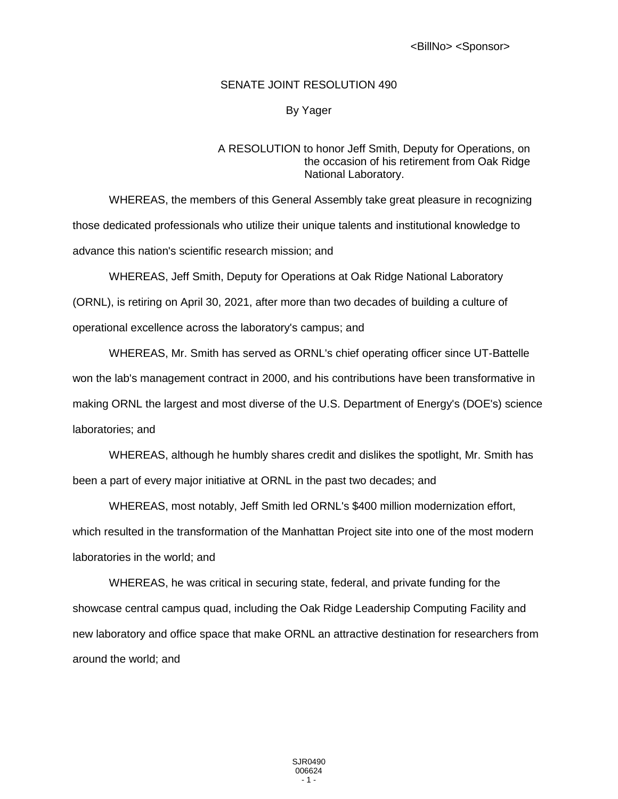## SENATE JOINT RESOLUTION 490

## By Yager

## A RESOLUTION to honor Jeff Smith, Deputy for Operations, on the occasion of his retirement from Oak Ridge National Laboratory.

WHEREAS, the members of this General Assembly take great pleasure in recognizing those dedicated professionals who utilize their unique talents and institutional knowledge to advance this nation's scientific research mission; and

WHEREAS, Jeff Smith, Deputy for Operations at Oak Ridge National Laboratory (ORNL), is retiring on April 30, 2021, after more than two decades of building a culture of operational excellence across the laboratory's campus; and

WHEREAS, Mr. Smith has served as ORNL's chief operating officer since UT-Battelle won the lab's management contract in 2000, and his contributions have been transformative in making ORNL the largest and most diverse of the U.S. Department of Energy's (DOE's) science laboratories; and

WHEREAS, although he humbly shares credit and dislikes the spotlight, Mr. Smith has been a part of every major initiative at ORNL in the past two decades; and

WHEREAS, most notably, Jeff Smith led ORNL's \$400 million modernization effort, which resulted in the transformation of the Manhattan Project site into one of the most modern laboratories in the world; and

WHEREAS, he was critical in securing state, federal, and private funding for the showcase central campus quad, including the Oak Ridge Leadership Computing Facility and new laboratory and office space that make ORNL an attractive destination for researchers from around the world; and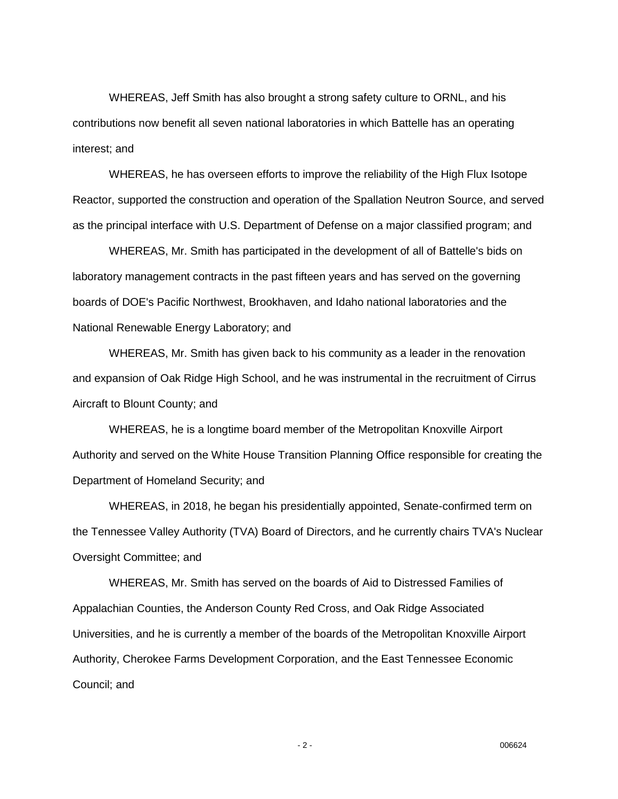WHEREAS, Jeff Smith has also brought a strong safety culture to ORNL, and his contributions now benefit all seven national laboratories in which Battelle has an operating interest; and

WHEREAS, he has overseen efforts to improve the reliability of the High Flux Isotope Reactor, supported the construction and operation of the Spallation Neutron Source, and served as the principal interface with U.S. Department of Defense on a major classified program; and

WHEREAS, Mr. Smith has participated in the development of all of Battelle's bids on laboratory management contracts in the past fifteen years and has served on the governing boards of DOE's Pacific Northwest, Brookhaven, and Idaho national laboratories and the National Renewable Energy Laboratory; and

WHEREAS, Mr. Smith has given back to his community as a leader in the renovation and expansion of Oak Ridge High School, and he was instrumental in the recruitment of Cirrus Aircraft to Blount County; and

WHEREAS, he is a longtime board member of the Metropolitan Knoxville Airport Authority and served on the White House Transition Planning Office responsible for creating the Department of Homeland Security; and

WHEREAS, in 2018, he began his presidentially appointed, Senate-confirmed term on the Tennessee Valley Authority (TVA) Board of Directors, and he currently chairs TVA's Nuclear Oversight Committee; and

WHEREAS, Mr. Smith has served on the boards of Aid to Distressed Families of Appalachian Counties, the Anderson County Red Cross, and Oak Ridge Associated Universities, and he is currently a member of the boards of the Metropolitan Knoxville Airport Authority, Cherokee Farms Development Corporation, and the East Tennessee Economic Council; and